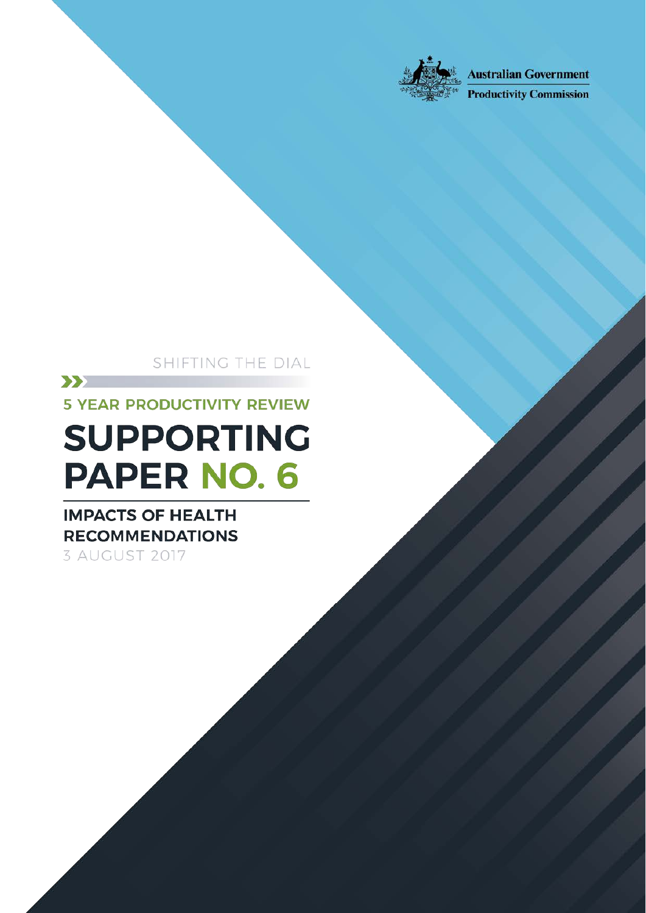

**Australian Government** 

**Productivity Commission** 

SHIFTING THE DIAL

 $\sum$ 

**5 YEAR PRODUCTIVITY REVIEW** 

# **SUPPORTING PAPER NO. 6**

# **IMPACTS OF HEALTH RECOMMENDATIONS**

3 AUGUST 2017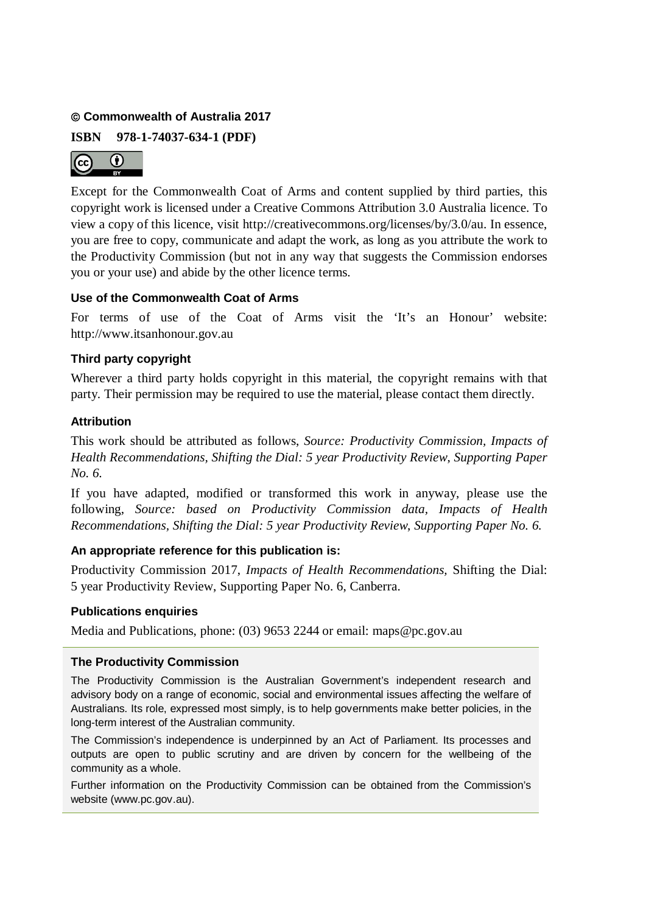#### **Commonwealth of Australia 2017**

**ISBN 978-1-74037-634-1 (PDF)**



Except for the Commonwealth Coat of Arms and content supplied by third parties, this copyright work is licensed under a Creative Commons Attribution 3.0 Australia licence. To view a copy of this licence, visit http://creativecommons.org/licenses/by/3.0/au. In essence, you are free to copy, communicate and adapt the work, as long as you attribute the work to the Productivity Commission (but not in any way that suggests the Commission endorses you or your use) and abide by the other licence terms.

#### **Use of the Commonwealth Coat of Arms**

For terms of use of the Coat of Arms visit the 'It's an Honour' website: http://www.itsanhonour.gov.au

#### **Third party copyright**

Wherever a third party holds copyright in this material, the copyright remains with that party. Their permission may be required to use the material, please contact them directly.

#### **Attribution**

This work should be attributed as follows, *Source: Productivity Commission, Impacts of Health Recommendations, Shifting the Dial: 5 year Productivity Review*, *Supporting Paper No. 6.*

If you have adapted, modified or transformed this work in anyway, please use the following, *Source: based on Productivity Commission data, Impacts of Health Recommendations, Shifting the Dial: 5 year Productivity Review*, *Supporting Paper No. 6.*

#### **An appropriate reference for this publication is:**

Productivity Commission 2017, *Impacts of Health Recommendations,* Shifting the Dial: 5 year Productivity Review, Supporting Paper No. 6, Canberra.

#### **Publications enquiries**

Media and Publications, phone: (03) 9653 2244 or email: maps@pc.gov.au

#### **The Productivity Commission**

The Productivity Commission is the Australian Government's independent research and advisory body on a range of economic, social and environmental issues affecting the welfare of Australians. Its role, expressed most simply, is to help governments make better policies, in the long-term interest of the Australian community.

The Commission's independence is underpinned by an Act of Parliament. Its processes and outputs are open to public scrutiny and are driven by concern for the wellbeing of the community as a whole.

Further information on the Productivity Commission can be obtained from the Commission's website (www.pc.gov.au).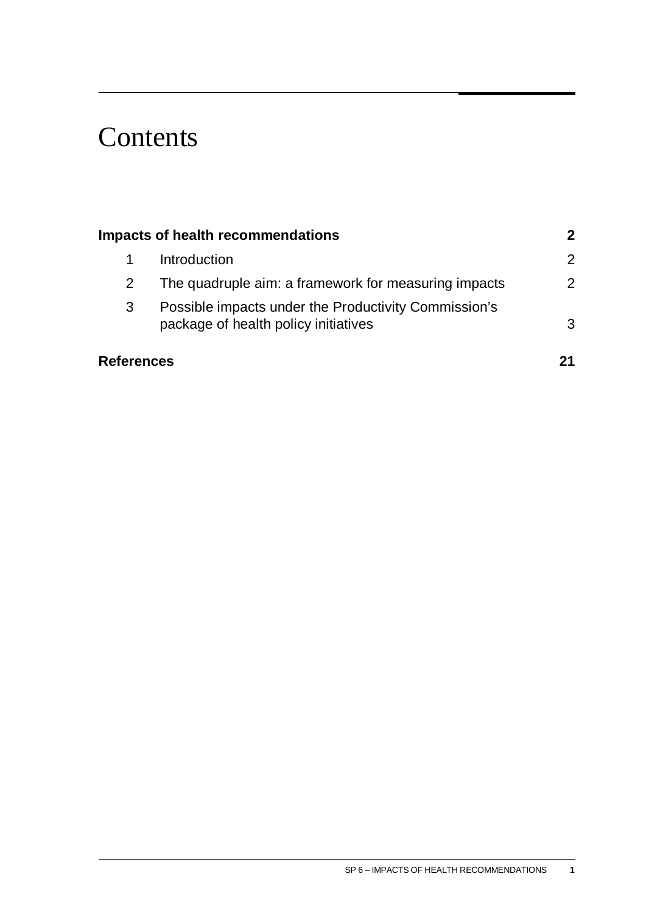# **Contents**

|                   | Impacts of health recommendations                                                            | $\boldsymbol{2}$ |
|-------------------|----------------------------------------------------------------------------------------------|------------------|
|                   | Introduction                                                                                 | 2                |
|                   | The quadruple aim: a framework for measuring impacts                                         | $\overline{2}$   |
| 3                 | Possible impacts under the Productivity Commission's<br>package of health policy initiatives | 3                |
| <b>References</b> |                                                                                              |                  |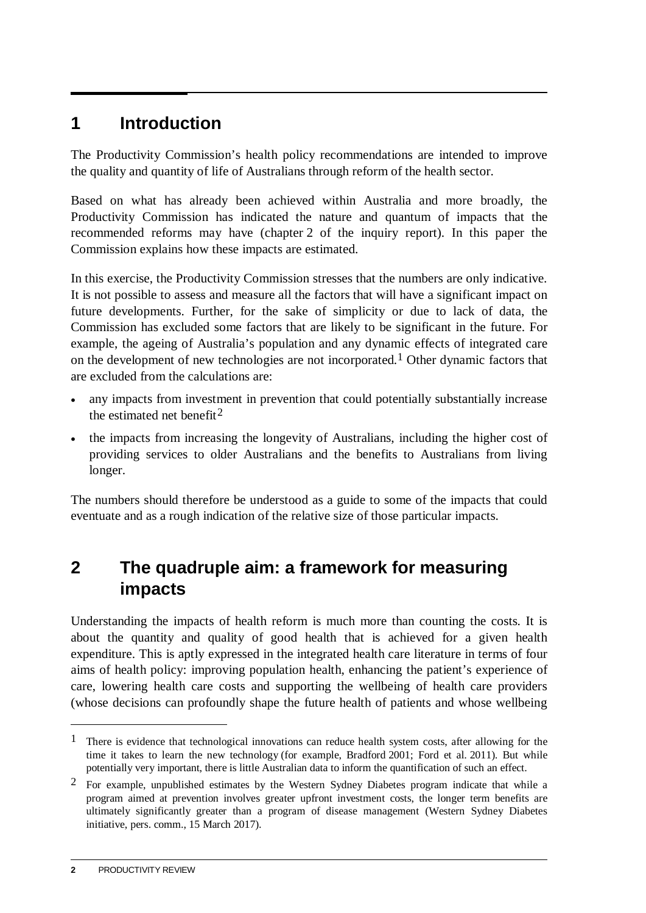### <span id="page-3-0"></span>**1 Introduction**

The Productivity Commission's health policy recommendations are intended to improve the quality and quantity of life of Australians through reform of the health sector.

Based on what has already been achieved within Australia and more broadly, the Productivity Commission has indicated the nature and quantum of impacts that the recommended reforms may have (chapter 2 of the inquiry report). In this paper the Commission explains how these impacts are estimated.

In this exercise, the Productivity Commission stresses that the numbers are only indicative. It is not possible to assess and measure all the factors that will have a significant impact on future developments. Further, for the sake of simplicity or due to lack of data, the Commission has excluded some factors that are likely to be significant in the future. For example, the ageing of Australia's population and any dynamic effects of integrated care on the development of new technologies are not incorporated.<sup>1</sup> Other dynamic factors that are excluded from the calculations are:

- any impacts from investment in prevention that could potentially substantially increase the estimated net benefit<sup>[2](#page-3-2)</sup>
- the impacts from increasing the longevity of Australians, including the higher cost of providing services to older Australians and the benefits to Australians from living longer.

The numbers should therefore be understood as a guide to some of the impacts that could eventuate and as a rough indication of the relative size of those particular impacts.

### **2 The quadruple aim: a framework for measuring impacts**

Understanding the impacts of health reform is much more than counting the costs. It is about the quantity and quality of good health that is achieved for a given health expenditure. This is aptly expressed in the integrated health care literature in terms of four aims of health policy: improving population health, enhancing the patient's experience of care, lowering health care costs and supporting the wellbeing of health care providers (whose decisions can profoundly shape the future health of patients and whose wellbeing

<u>.</u>

<span id="page-3-1"></span><sup>&</sup>lt;sup>1</sup> There is evidence that technological innovations can reduce health system costs, after allowing for the time it takes to learn the new technology (for example, Bradford 2001; Ford et al. 2011). But while potentially very important, there is little Australian data to inform the quantification of such an effect.

<span id="page-3-2"></span><sup>2</sup> For example, unpublished estimates by the Western Sydney Diabetes program indicate that while a program aimed at prevention involves greater upfront investment costs, the longer term benefits are ultimately significantly greater than a program of disease management (Western Sydney Diabetes initiative, pers. comm., 15 March 2017).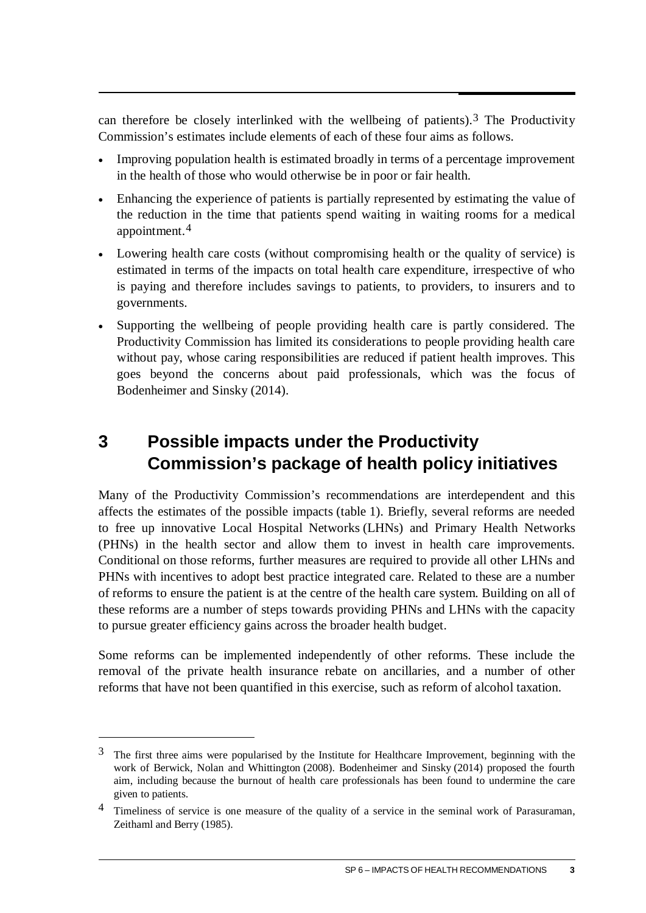<span id="page-4-0"></span>can therefore be closely interlinked with the wellbeing of patients).<sup>[3](#page-4-1)</sup> The Productivity Commission's estimates include elements of each of these four aims as follows.

- Improving population health is estimated broadly in terms of a percentage improvement in the health of those who would otherwise be in poor or fair health.
- Enhancing the experience of patients is partially represented by estimating the value of the reduction in the time that patients spend waiting in waiting rooms for a medical appointment.[4](#page-4-2)
- Lowering health care costs (without compromising health or the quality of service) is estimated in terms of the impacts on total health care expenditure, irrespective of who is paying and therefore includes savings to patients, to providers, to insurers and to governments.
- Supporting the wellbeing of people providing health care is partly considered. The Productivity Commission has limited its considerations to people providing health care without pay, whose caring responsibilities are reduced if patient health improves. This goes beyond the concerns about paid professionals, which was the focus of Bodenheimer and Sinsky (2014).

## **3 Possible impacts under the Productivity Commission's package of health policy initiatives**

Many of the Productivity Commission's recommendations are interdependent and this affects the estimates of the possible impacts (table 1). Briefly, several reforms are needed to free up innovative Local Hospital Networks (LHNs) and Primary Health Networks (PHNs) in the health sector and allow them to invest in health care improvements. Conditional on those reforms, further measures are required to provide all other LHNs and PHNs with incentives to adopt best practice integrated care. Related to these are a number of reforms to ensure the patient is at the centre of the health care system. Building on all of these reforms are a number of steps towards providing PHNs and LHNs with the capacity to pursue greater efficiency gains across the broader health budget.

Some reforms can be implemented independently of other reforms. These include the removal of the private health insurance rebate on ancillaries, and a number of other reforms that have not been quantified in this exercise, such as reform of alcohol taxation.

 $\overline{a}$ 

<span id="page-4-1"></span><sup>3</sup> The first three aims were popularised by the Institute for Healthcare Improvement, beginning with the work of Berwick, Nolan and Whittington (2008). Bodenheimer and Sinsky (2014) proposed the fourth aim, including because the burnout of health care professionals has been found to undermine the care given to patients.

<span id="page-4-2"></span><sup>4</sup> Timeliness of service is one measure of the quality of a service in the seminal work of Parasuraman, Zeithaml and Berry (1985).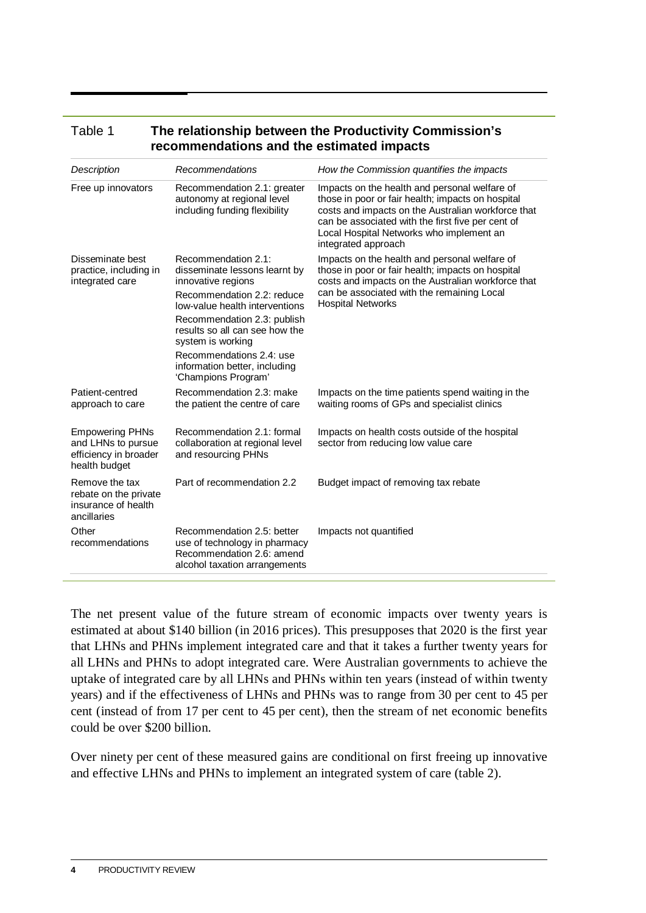| ו סוטוס<br><b>THE TERMONSHIP DELWEEN MIET TOGGCHYKY COMMISSION S</b><br>recommendations and the estimated impacts |                                                                                                                                                                                                                                                                                                                      |                                                                                                                                                                                                                                                                                  |  |  |  |  |
|-------------------------------------------------------------------------------------------------------------------|----------------------------------------------------------------------------------------------------------------------------------------------------------------------------------------------------------------------------------------------------------------------------------------------------------------------|----------------------------------------------------------------------------------------------------------------------------------------------------------------------------------------------------------------------------------------------------------------------------------|--|--|--|--|
| Description                                                                                                       | Recommendations                                                                                                                                                                                                                                                                                                      | How the Commission quantifies the impacts                                                                                                                                                                                                                                        |  |  |  |  |
| Free up innovators                                                                                                | Recommendation 2.1: greater<br>autonomy at regional level<br>including funding flexibility                                                                                                                                                                                                                           | Impacts on the health and personal welfare of<br>those in poor or fair health; impacts on hospital<br>costs and impacts on the Australian workforce that<br>can be associated with the first five per cent of<br>Local Hospital Networks who implement an<br>integrated approach |  |  |  |  |
| Disseminate best<br>practice, including in<br>integrated care                                                     | Recommendation 2.1:<br>disseminate lessons learnt by<br>innovative regions<br>Recommendation 2.2: reduce<br>low-value health interventions<br>Recommendation 2.3: publish<br>results so all can see how the<br>system is working<br>Recommendations 2.4: use<br>information better, including<br>'Champions Program' | Impacts on the health and personal welfare of<br>those in poor or fair health; impacts on hospital<br>costs and impacts on the Australian workforce that<br>can be associated with the remaining Local<br><b>Hospital Networks</b>                                               |  |  |  |  |
| Patient-centred<br>approach to care                                                                               | Recommendation 2.3: make<br>the patient the centre of care                                                                                                                                                                                                                                                           | Impacts on the time patients spend waiting in the<br>waiting rooms of GPs and specialist clinics                                                                                                                                                                                 |  |  |  |  |
| <b>Empowering PHNs</b><br>and LHNs to pursue<br>efficiency in broader<br>health budget                            | Recommendation 2.1: formal<br>collaboration at regional level<br>and resourcing PHNs                                                                                                                                                                                                                                 | Impacts on health costs outside of the hospital<br>sector from reducing low value care                                                                                                                                                                                           |  |  |  |  |
| Remove the tax<br>rebate on the private<br>insurance of health<br>ancillaries                                     | Part of recommendation 2.2                                                                                                                                                                                                                                                                                           | Budget impact of removing tax rebate                                                                                                                                                                                                                                             |  |  |  |  |
| Other<br>recommendations                                                                                          | Recommendation 2.5: better<br>use of technology in pharmacy<br>Recommendation 2.6: amend<br>alcohol taxation arrangements                                                                                                                                                                                            | Impacts not quantified                                                                                                                                                                                                                                                           |  |  |  |  |

# Table 1 **The relationship between the Productivity Commission's**

The net present value of the future stream of economic impacts over twenty years is estimated at about \$140 billion (in 2016 prices). This presupposes that 2020 is the first year that LHNs and PHNs implement integrated care and that it takes a further twenty years for all LHNs and PHNs to adopt integrated care. Were Australian governments to achieve the uptake of integrated care by all LHNs and PHNs within ten years (instead of within twenty years) and if the effectiveness of LHNs and PHNs was to range from 30 per cent to 45 per cent (instead of from 17 per cent to 45 per cent), then the stream of net economic benefits could be over \$200 billion.

Over ninety per cent of these measured gains are conditional on first freeing up innovative and effective LHNs and PHNs to implement an integrated system of care (table 2).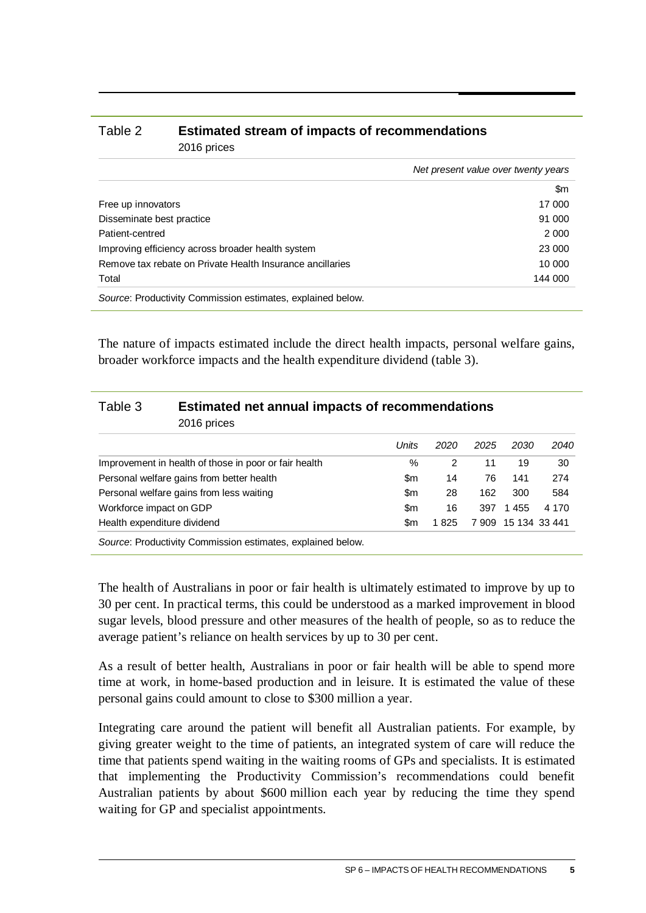#### Table 2 **Estimated stream of impacts of recommendations** 2016 prices

|                                                             | Net present value over twenty years |
|-------------------------------------------------------------|-------------------------------------|
|                                                             | \$m                                 |
| Free up innovators                                          | 17 000                              |
| Disseminate best practice                                   | 91 000                              |
| Patient-centred                                             | 2 0 0 0                             |
| Improving efficiency across broader health system           | 23 000                              |
| Remove tax rebate on Private Health Insurance ancillaries   | 10 000                              |
| Total                                                       | 144 000                             |
| Source: Productivity Commission estimates, explained below. |                                     |

The nature of impacts estimated include the direct health impacts, personal welfare gains, broader workforce impacts and the health expenditure dividend (table 3).

| Table 3                                   | <b>Estimated net annual impacts of recommendations</b><br>2016 prices |       |      |      |                     |       |  |  |
|-------------------------------------------|-----------------------------------------------------------------------|-------|------|------|---------------------|-------|--|--|
|                                           |                                                                       | Units | 2020 | 2025 | 2030                | 2040  |  |  |
|                                           | Improvement in health of those in poor or fair health                 | $\%$  | 2    | 11   | 19                  | 30    |  |  |
| Personal welfare gains from better health |                                                                       | \$m   | 14   | 76   | 141                 | 274   |  |  |
|                                           | Personal welfare gains from less waiting                              | \$m   | 28   | 162  | 300                 | 584   |  |  |
| Workforce impact on GDP                   |                                                                       | \$m   | 16   | 397  | 1455                | 4 170 |  |  |
| Health expenditure dividend               |                                                                       | \$m   | 1825 |      | 7 909 15 134 33 441 |       |  |  |
|                                           | Source: Productivity Commission estimates, explained below.           |       |      |      |                     |       |  |  |

The health of Australians in poor or fair health is ultimately estimated to improve by up to 30 per cent. In practical terms, this could be understood as a marked improvement in blood sugar levels, blood pressure and other measures of the health of people, so as to reduce the average patient's reliance on health services by up to 30 per cent.

As a result of better health, Australians in poor or fair health will be able to spend more time at work, in home-based production and in leisure. It is estimated the value of these personal gains could amount to close to \$300 million a year.

Integrating care around the patient will benefit all Australian patients. For example, by giving greater weight to the time of patients, an integrated system of care will reduce the time that patients spend waiting in the waiting rooms of GPs and specialists. It is estimated that implementing the Productivity Commission's recommendations could benefit Australian patients by about \$600 million each year by reducing the time they spend waiting for GP and specialist appointments.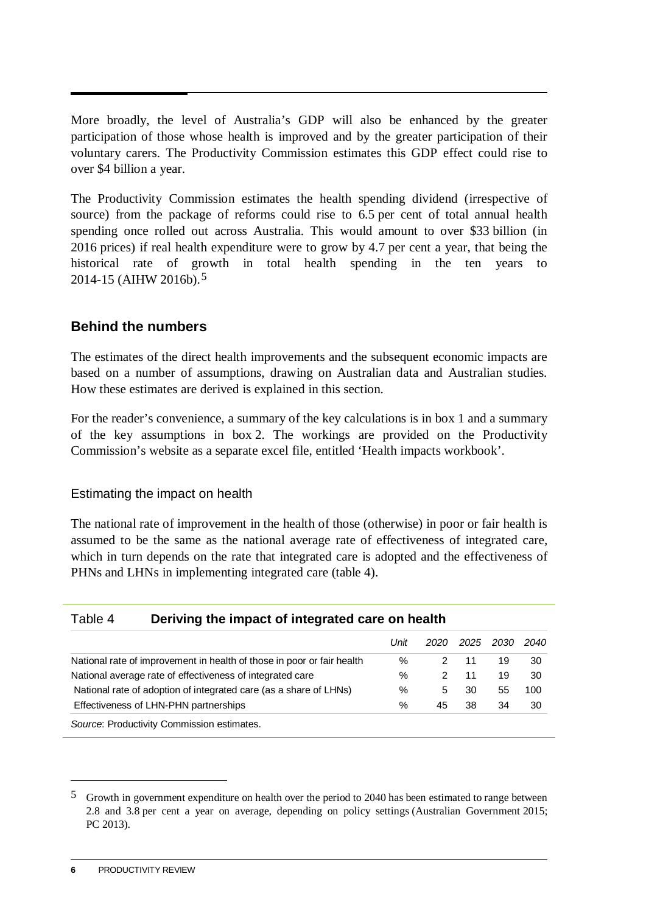More broadly, the level of Australia's GDP will also be enhanced by the greater participation of those whose health is improved and by the greater participation of their voluntary carers. The Productivity Commission estimates this GDP effect could rise to over \$4 billion a year.

The Productivity Commission estimates the health spending dividend (irrespective of source) from the package of reforms could rise to 6.5 per cent of total annual health spending once rolled out across Australia. This would amount to over \$33 billion (in 2016 prices) if real health expenditure were to grow by 4.7 per cent a year, that being the historical rate of growth in total health spending in the ten years to 2014-15 (AIHW 2016b).[5](#page-7-0) 

#### **Behind the numbers**

The estimates of the direct health improvements and the subsequent economic impacts are based on a number of assumptions, drawing on Australian data and Australian studies. How these estimates are derived is explained in this section.

For the reader's convenience, a summary of the key calculations is in box 1 and a summary of the key assumptions in box 2. The workings are provided on the Productivity Commission's website as a separate excel file, entitled 'Health impacts workbook'.

Estimating the impact on health

The national rate of improvement in the health of those (otherwise) in poor or fair health is assumed to be the same as the national average rate of effectiveness of integrated care, which in turn depends on the rate that integrated care is adopted and the effectiveness of PHNs and LHNs in implementing integrated care (table 4).

#### Table 4 **Deriving the impact of integrated care on health**

|                                                                        | Unit |    | 2020 2025 2030 |    | 2040 |
|------------------------------------------------------------------------|------|----|----------------|----|------|
| National rate of improvement in health of those in poor or fair health | %    |    | 11             | 19 | 30   |
| National average rate of effectiveness of integrated care              | ℅    |    | 11             | 19 | 30   |
| National rate of adoption of integrated care (as a share of LHNs)      | %    | 5  | 30             | 55 | 100  |
| Effectiveness of LHN-PHN partnerships                                  | %    | 45 | 38             | 34 | 30   |
| Source: Productivity Commission estimates.                             |      |    |                |    |      |

<u>.</u>

<span id="page-7-0"></span><sup>5</sup> Growth in government expenditure on health over the period to 2040 has been estimated to range between 2.8 and 3.8 per cent a year on average, depending on policy settings (Australian Government 2015; PC 2013).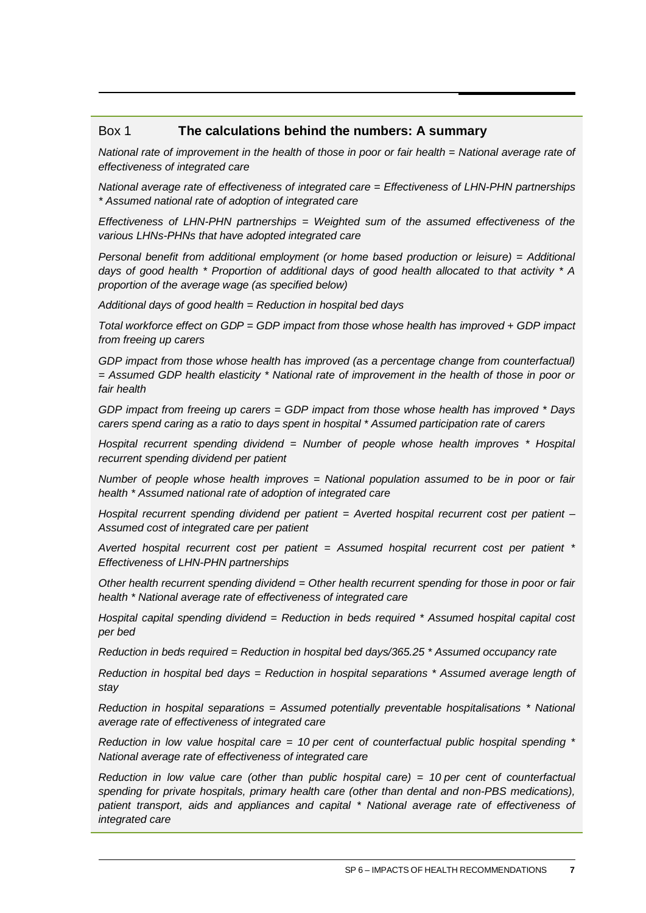#### Box 1 **The calculations behind the numbers: A summary**

*National rate of improvement in the health of those in poor or fair health = National average rate of effectiveness of integrated care*

*National average rate of effectiveness of integrated care = Effectiveness of LHN-PHN partnerships \* Assumed national rate of adoption of integrated care*

*Effectiveness of LHN-PHN partnerships = Weighted sum of the assumed effectiveness of the various LHNs-PHNs that have adopted integrated care*

*Personal benefit from additional employment (or home based production or leisure) = Additional days of good health \* Proportion of additional days of good health allocated to that activity \* A proportion of the average wage (as specified below)*

*Additional days of good health = Reduction in hospital bed days*

*Total workforce effect on GDP = GDP impact from those whose health has improved + GDP impact from freeing up carers*

GDP impact from those whose health has improved (as a percentage change from counterfactual) *= Assumed GDP health elasticity \* National rate of improvement in the health of those in poor or fair health*

*GDP impact from freeing up carers = GDP impact from those whose health has improved \* Days carers spend caring as a ratio to days spent in hospital \* Assumed participation rate of carers* 

*Hospital recurrent spending dividend = Number of people whose health improves \* Hospital recurrent spending dividend per patient*

*Number of people whose health improves = National population assumed to be in poor or fair health \* Assumed national rate of adoption of integrated care*

*Hospital recurrent spending dividend per patient = Averted hospital recurrent cost per patient – Assumed cost of integrated care per patient*

*Averted hospital recurrent cost per patient = Assumed hospital recurrent cost per patient \* Effectiveness of LHN-PHN partnerships*

*Other health recurrent spending dividend = Other health recurrent spending for those in poor or fair health \* National average rate of effectiveness of integrated care*

*Hospital capital spending dividend = Reduction in beds required \* Assumed hospital capital cost per bed*

*Reduction in beds required = Reduction in hospital bed days/365.25 \* Assumed occupancy rate*

*Reduction in hospital bed days = Reduction in hospital separations \* Assumed average length of stay* 

*Reduction in hospital separations = Assumed potentially preventable hospitalisations \* National average rate of effectiveness of integrated care*

*Reduction in low value hospital care = 10 per cent of counterfactual public hospital spending \* National average rate of effectiveness of integrated care*

*Reduction in low value care (other than public hospital care) = 10 per cent of counterfactual spending for private hospitals, primary health care (other than dental and non-PBS medications), patient transport, aids and appliances and capital \* National average rate of effectiveness of integrated care*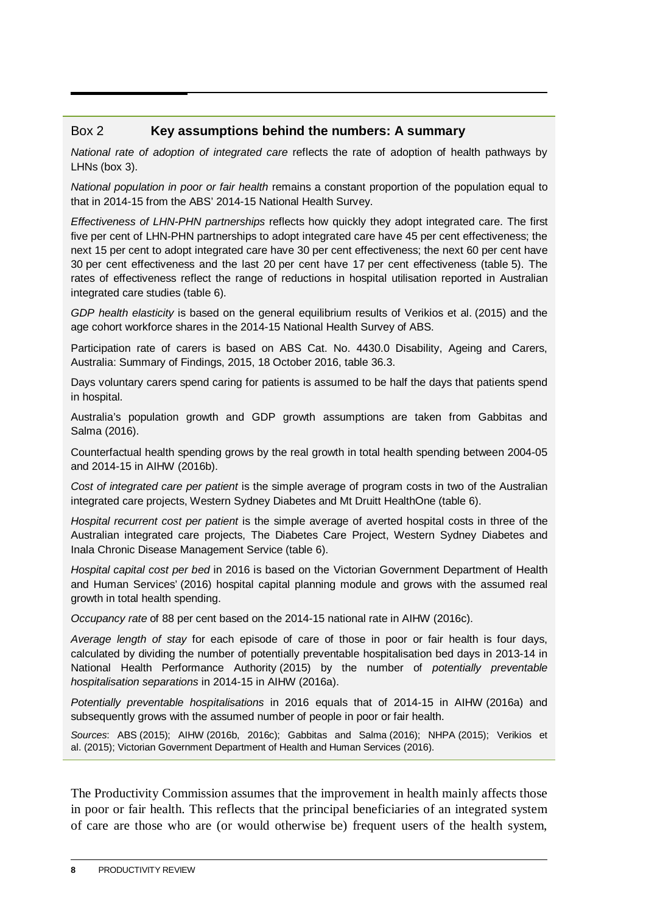#### Box 2 **Key assumptions behind the numbers: A summary**

*National rate of adoption of integrated care* reflects the rate of adoption of health pathways by LHNs (box 3).

*National population in poor or fair health* remains a constant proportion of the population equal to that in 2014-15 from the ABS' 2014-15 National Health Survey.

*Effectiveness of LHN-PHN partnerships* reflects how quickly they adopt integrated care. The first five per cent of LHN-PHN partnerships to adopt integrated care have 45 per cent effectiveness; the next 15 per cent to adopt integrated care have 30 per cent effectiveness; the next 60 per cent have 30 per cent effectiveness and the last 20 per cent have 17 per cent effectiveness (table 5). The rates of effectiveness reflect the range of reductions in hospital utilisation reported in Australian integrated care studies (table 6).

*GDP health elasticity* is based on the general equilibrium results of Verikios et al. (2015) and the age cohort workforce shares in the 2014-15 National Health Survey of ABS.

Participation rate of carers is based on ABS Cat. No. 4430.0 Disability, Ageing and Carers, Australia: Summary of Findings, 2015, 18 October 2016, table 36.3.

Days voluntary carers spend caring for patients is assumed to be half the days that patients spend in hospital.

Australia's population growth and GDP growth assumptions are taken from Gabbitas and Salma (2016).

Counterfactual health spending grows by the real growth in total health spending between 2004-05 and 2014-15 in AIHW (2016b).

*Cost of integrated care per patient* is the simple average of program costs in two of the Australian integrated care projects, Western Sydney Diabetes and Mt Druitt HealthOne (table 6).

*Hospital recurrent cost per patient* is the simple average of averted hospital costs in three of the Australian integrated care projects, The Diabetes Care Project, Western Sydney Diabetes and Inala Chronic Disease Management Service (table 6).

*Hospital capital cost per bed* in 2016 is based on the Victorian Government Department of Health and Human Services' (2016) hospital capital planning module and grows with the assumed real growth in total health spending.

*Occupancy rate* of 88 per cent based on the 2014-15 national rate in AIHW (2016c).

*Average length of stay* for each episode of care of those in poor or fair health is four days, calculated by dividing the number of potentially preventable hospitalisation bed days in 2013-14 in National Health Performance Authority (2015) by the number of *potentially preventable hospitalisation separations* in 2014-15 in AIHW (2016a).

*Potentially preventable hospitalisations* in 2016 equals that of 2014-15 in AIHW (2016a) and subsequently grows with the assumed number of people in poor or fair health.

*Sources*: ABS (2015); AIHW (2016b, 2016c); Gabbitas and Salma (2016); NHPA (2015); Verikios et al. (2015); Victorian Government Department of Health and Human Services (2016).

The Productivity Commission assumes that the improvement in health mainly affects those in poor or fair health. This reflects that the principal beneficiaries of an integrated system of care are those who are (or would otherwise be) frequent users of the health system,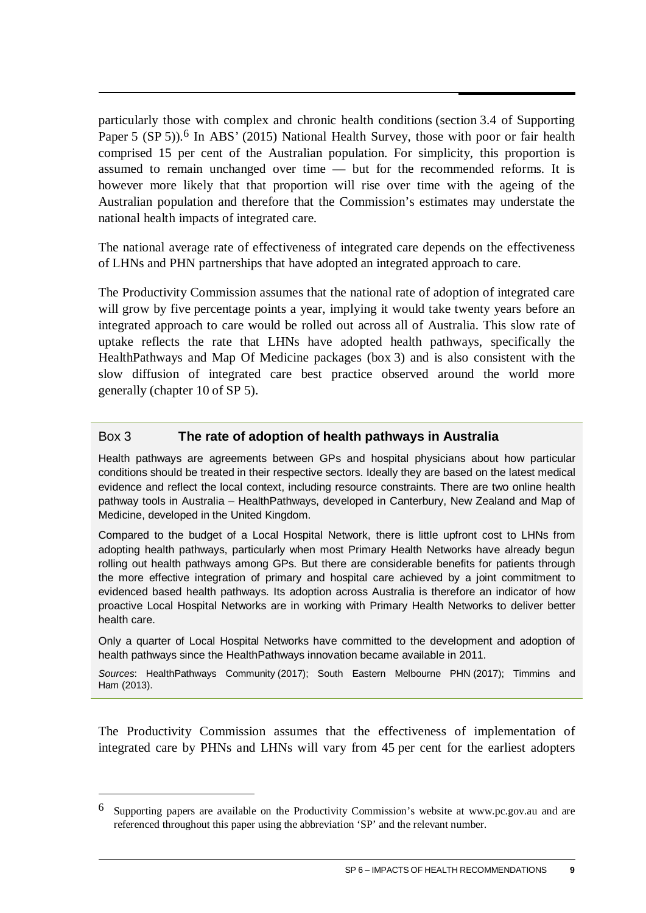particularly those with complex and chronic health conditions (section 3.4 of Supporting Paper 5 (SP 5)).<sup>[6](#page-10-0)</sup> In ABS' (2015) National Health Survey, those with poor or fair health comprised 15 per cent of the Australian population. For simplicity, this proportion is assumed to remain unchanged over time — but for the recommended reforms. It is however more likely that that proportion will rise over time with the ageing of the Australian population and therefore that the Commission's estimates may understate the national health impacts of integrated care.

The national average rate of effectiveness of integrated care depends on the effectiveness of LHNs and PHN partnerships that have adopted an integrated approach to care.

The Productivity Commission assumes that the national rate of adoption of integrated care will grow by five percentage points a year, implying it would take twenty years before an integrated approach to care would be rolled out across all of Australia. This slow rate of uptake reflects the rate that LHNs have adopted health pathways, specifically the HealthPathways and Map Of Medicine packages (box 3) and is also consistent with the slow diffusion of integrated care best practice observed around the world more generally (chapter 10 of SP 5).

#### Box 3 **The rate of adoption of health pathways in Australia**

Health pathways are agreements between GPs and hospital physicians about how particular conditions should be treated in their respective sectors. Ideally they are based on the latest medical evidence and reflect the local context, including resource constraints. There are two online health pathway tools in Australia – HealthPathways, developed in Canterbury, New Zealand and Map of Medicine, developed in the United Kingdom.

Compared to the budget of a Local Hospital Network, there is little upfront cost to LHNs from adopting health pathways, particularly when most Primary Health Networks have already begun rolling out health pathways among GPs. But there are considerable benefits for patients through the more effective integration of primary and hospital care achieved by a joint commitment to evidenced based health pathways. Its adoption across Australia is therefore an indicator of how proactive Local Hospital Networks are in working with Primary Health Networks to deliver better health care.

Only a quarter of Local Hospital Networks have committed to the development and adoption of health pathways since the HealthPathways innovation became available in 2011.

*Sources*: HealthPathways Community (2017); South Eastern Melbourne PHN (2017); Timmins and Ham (2013).

The Productivity Commission assumes that the effectiveness of implementation of integrated care by PHNs and LHNs will vary from 45 per cent for the earliest adopters

 $\overline{a}$ 

<span id="page-10-0"></span><sup>6</sup> Supporting papers are available on the Productivity Commission's website at www.pc.gov.au and are referenced throughout this paper using the abbreviation 'SP' and the relevant number.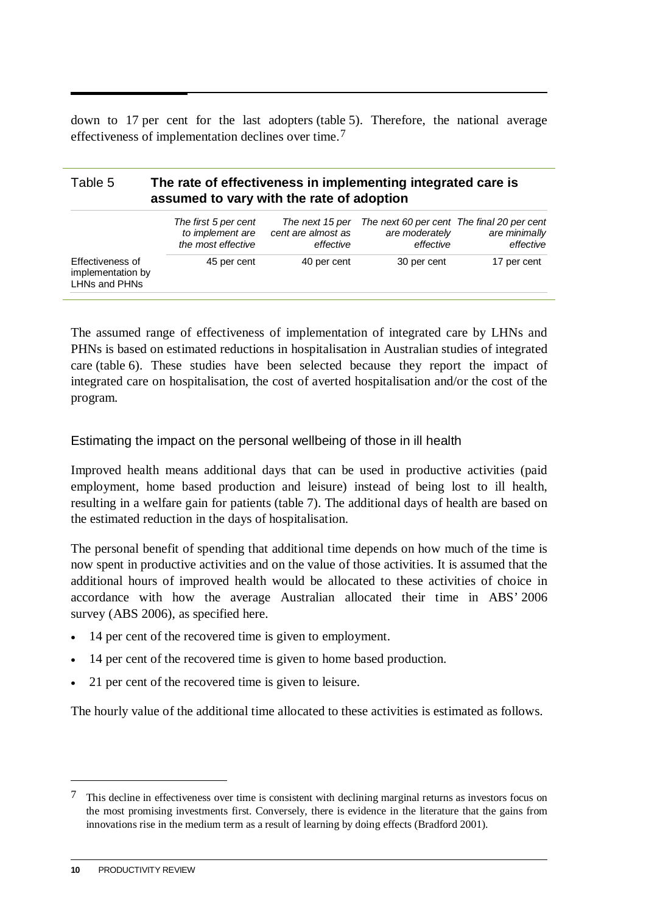down to 17 per cent for the last adopters (table 5). Therefore, the national average effectiveness of implementation declines over time.[7](#page-11-0)

#### Table 5 **The rate of effectiveness in implementing integrated care is assumed to vary with the rate of adoption**

|                                                        | The first 5 per cent<br>to implement are<br>the most effective | The next 15 per<br>cent are almost as<br>effective | The next 60 per cent The final 20 per cent<br>are moderately<br>effective | are minimally<br>effective |
|--------------------------------------------------------|----------------------------------------------------------------|----------------------------------------------------|---------------------------------------------------------------------------|----------------------------|
| Effectiveness of<br>implementation by<br>LHNs and PHNs | 45 per cent                                                    | 40 per cent                                        | 30 per cent                                                               | 17 per cent                |

The assumed range of effectiveness of implementation of integrated care by LHNs and PHNs is based on estimated reductions in hospitalisation in Australian studies of integrated care (table 6). These studies have been selected because they report the impact of integrated care on hospitalisation, the cost of averted hospitalisation and/or the cost of the program.

Estimating the impact on the personal wellbeing of those in ill health

Improved health means additional days that can be used in productive activities (paid employment, home based production and leisure) instead of being lost to ill health, resulting in a welfare gain for patients (table 7). The additional days of health are based on the estimated reduction in the days of hospitalisation.

The personal benefit of spending that additional time depends on how much of the time is now spent in productive activities and on the value of those activities. It is assumed that the additional hours of improved health would be allocated to these activities of choice in accordance with how the average Australian allocated their time in ABS' 2006 survey (ABS 2006), as specified here.

- 14 per cent of the recovered time is given to employment.
- 14 per cent of the recovered time is given to home based production.
- 21 per cent of the recovered time is given to leisure.

The hourly value of the additional time allocated to these activities is estimated as follows.

<u>.</u>

<span id="page-11-0"></span><sup>7</sup> This decline in effectiveness over time is consistent with declining marginal returns as investors focus on the most promising investments first. Conversely, there is evidence in the literature that the gains from innovations rise in the medium term as a result of learning by doing effects (Bradford 2001).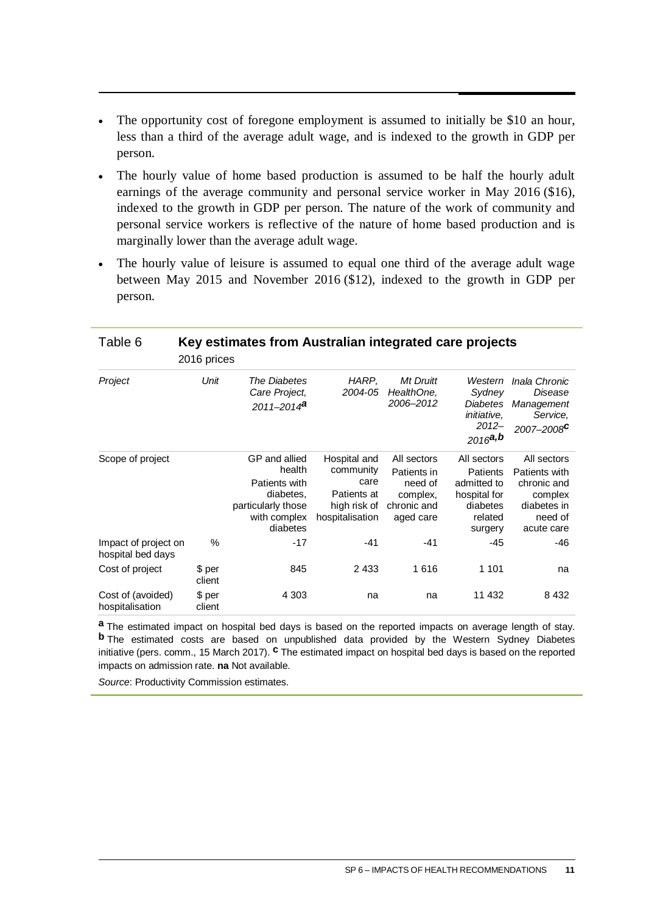- The opportunity cost of foregone employment is assumed to initially be \$10 an hour, less than a third of the average adult wage, and is indexed to the growth in GDP per person.
- The hourly value of home based production is assumed to be half the hourly adult earnings of the average community and personal service worker in May 2016 (\$16), indexed to the growth in GDP per person. The nature of the work of community and personal service workers is reflective of the nature of home based production and is marginally lower than the average adult wage.
- The hourly value of leisure is assumed to equal one third of the average adult wage between May 2015 and November 2016 (\$12), indexed to the growth in GDP per person.

| Table 6                                   | 2016 prices      | Key estimates from Australian integrated care projects                                                  |                                                                                     |                                                                               |                                                                                          |                                                                                                |
|-------------------------------------------|------------------|---------------------------------------------------------------------------------------------------------|-------------------------------------------------------------------------------------|-------------------------------------------------------------------------------|------------------------------------------------------------------------------------------|------------------------------------------------------------------------------------------------|
| Project                                   | Unit             | The Diabetes<br>Care Project,<br>$2011 - 2014$ <sup>a</sup>                                             | HARP,<br>2004-05                                                                    | Mt Druitt<br>HealthOne,<br>2006–2012                                          | Western<br>Sydney<br><b>Diabetes</b><br><i>initiative</i> ,<br>$2012 -$<br>$2016$ a,b    | Inala Chronic<br>Disease<br>Management<br>Service,<br>2007-2008 <sup>C</sup>                   |
| Scope of project                          |                  | GP and allied<br>health<br>Patients with<br>diabetes.<br>particularly those<br>with complex<br>diabetes | Hospital and<br>community<br>care<br>Patients at<br>high risk of<br>hospitalisation | All sectors<br>Patients in<br>need of<br>complex,<br>chronic and<br>aged care | All sectors<br>Patients<br>admitted to<br>hospital for<br>diabetes<br>related<br>surgery | All sectors<br>Patients with<br>chronic and<br>complex<br>diabetes in<br>need of<br>acute care |
| Impact of project on<br>hospital bed days | $\%$             | $-17$                                                                                                   | $-41$                                                                               | $-41$                                                                         | -45                                                                                      | -46                                                                                            |
| Cost of project                           | \$ per<br>client | 845                                                                                                     | 2433                                                                                | 1616                                                                          | 1 1 0 1                                                                                  | na                                                                                             |
| Cost of (avoided)<br>hospitalisation      | \$ per<br>client | 4 3 0 3                                                                                                 | na                                                                                  | na                                                                            | 11 432                                                                                   | 8 4 3 2                                                                                        |

**a** The estimated impact on hospital bed days is based on the reported impacts on average length of stay. **b** The estimated costs are based on unpublished data provided by the Western Sydney Diabetes initiative (pers. comm., 15 March 2017). **c** The estimated impact on hospital bed days is based on the reported impacts on admission rate. **na** Not available.

*Source*: Productivity Commission estimates.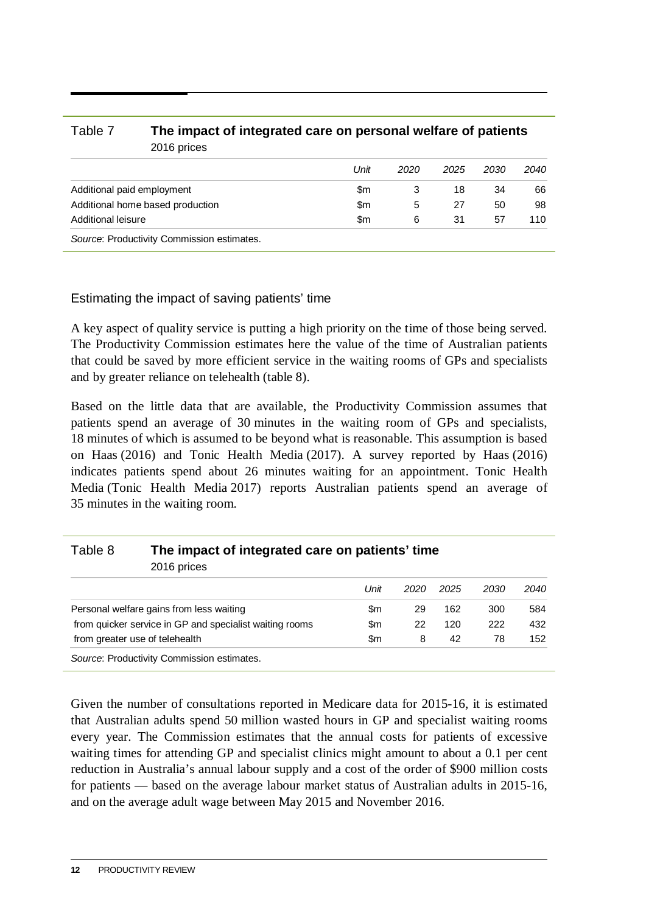#### Table 7 **The impact of integrated care on personal welfare of patients** 2016 prices

|                                            | Unit | 2020 | 2025 | 2030 | 2040 |
|--------------------------------------------|------|------|------|------|------|
| Additional paid employment                 | \$m  |      | 18   | 34   | 66   |
| Additional home based production           | \$m  | 5    | 27   | 50   | 98   |
| Additional leisure                         | \$m  | 6    | 31   | 57   | 110  |
| Source: Productivity Commission estimates. |      |      |      |      |      |

#### Estimating the impact of saving patients' time

A key aspect of quality service is putting a high priority on the time of those being served. The Productivity Commission estimates here the value of the time of Australian patients that could be saved by more efficient service in the waiting rooms of GPs and specialists and by greater reliance on telehealth (table 8).

Based on the little data that are available, the Productivity Commission assumes that patients spend an average of 30 minutes in the waiting room of GPs and specialists, 18 minutes of which is assumed to be beyond what is reasonable. This assumption is based on Haas (2016) and Tonic Health Media (2017). A survey reported by Haas (2016) indicates patients spend about 26 minutes waiting for an appointment. Tonic Health Media (Tonic Health Media 2017) reports Australian patients spend an average of 35 minutes in the waiting room.

### Table 8 **The impact of integrated care on patients' time** 2016 prices

*Unit 2020 2025 2030 2040* Personal welfare gains from less waiting  $\mu$  8m  $\mu$  29 162 300 584 from quicker service in GP and specialist waiting rooms \$m 22 120 222 432 from greater use of telehealth  $\frac{152}{2}$   $\frac{152}{2}$ *Source*: Productivity Commission estimates.

Given the number of consultations reported in Medicare data for 2015-16, it is estimated that Australian adults spend 50 million wasted hours in GP and specialist waiting rooms every year. The Commission estimates that the annual costs for patients of excessive waiting times for attending GP and specialist clinics might amount to about a 0.1 per cent reduction in Australia's annual labour supply and a cost of the order of \$900 million costs for patients — based on the average labour market status of Australian adults in 2015-16, and on the average adult wage between May 2015 and November 2016.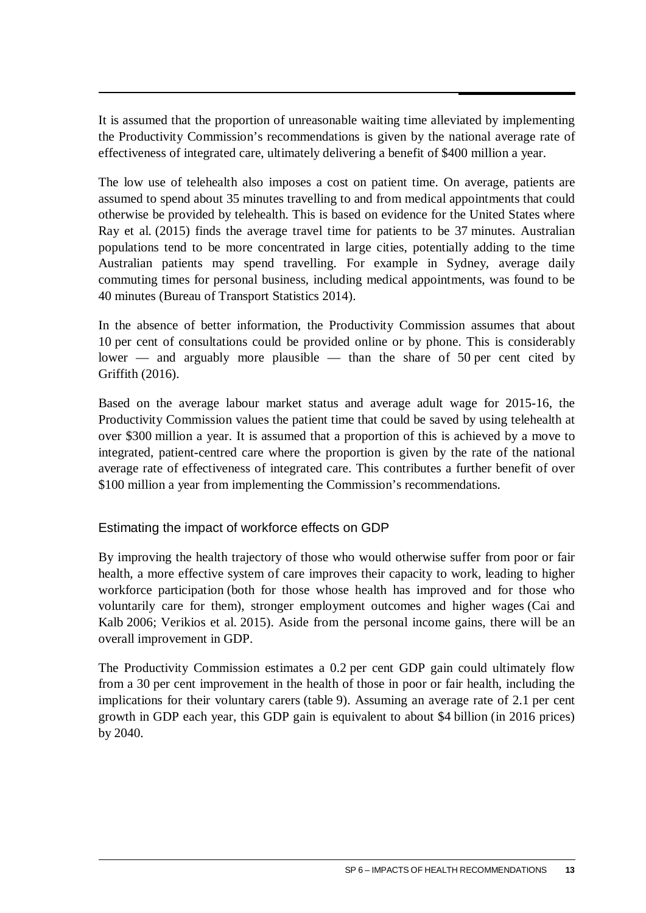It is assumed that the proportion of unreasonable waiting time alleviated by implementing the Productivity Commission's recommendations is given by the national average rate of effectiveness of integrated care, ultimately delivering a benefit of \$400 million a year.

The low use of telehealth also imposes a cost on patient time. On average, patients are assumed to spend about 35 minutes travelling to and from medical appointments that could otherwise be provided by telehealth. This is based on evidence for the United States where Ray et al. (2015) finds the average travel time for patients to be 37 minutes. Australian populations tend to be more concentrated in large cities, potentially adding to the time Australian patients may spend travelling. For example in Sydney, average daily commuting times for personal business, including medical appointments, was found to be 40 minutes (Bureau of Transport Statistics 2014).

In the absence of better information, the Productivity Commission assumes that about 10 per cent of consultations could be provided online or by phone. This is considerably lower — and arguably more plausible — than the share of 50 per cent cited by Griffith (2016).

Based on the average labour market status and average adult wage for 2015-16, the Productivity Commission values the patient time that could be saved by using telehealth at over \$300 million a year. It is assumed that a proportion of this is achieved by a move to integrated, patient-centred care where the proportion is given by the rate of the national average rate of effectiveness of integrated care. This contributes a further benefit of over \$100 million a year from implementing the Commission's recommendations.

#### Estimating the impact of workforce effects on GDP

By improving the health trajectory of those who would otherwise suffer from poor or fair health, a more effective system of care improves their capacity to work, leading to higher workforce participation (both for those whose health has improved and for those who voluntarily care for them), stronger employment outcomes and higher wages (Cai and Kalb 2006; Verikios et al. 2015). Aside from the personal income gains, there will be an overall improvement in GDP.

The Productivity Commission estimates a 0.2 per cent GDP gain could ultimately flow from a 30 per cent improvement in the health of those in poor or fair health, including the implications for their voluntary carers (table 9). Assuming an average rate of 2.1 per cent growth in GDP each year, this GDP gain is equivalent to about \$4 billion (in 2016 prices) by 2040.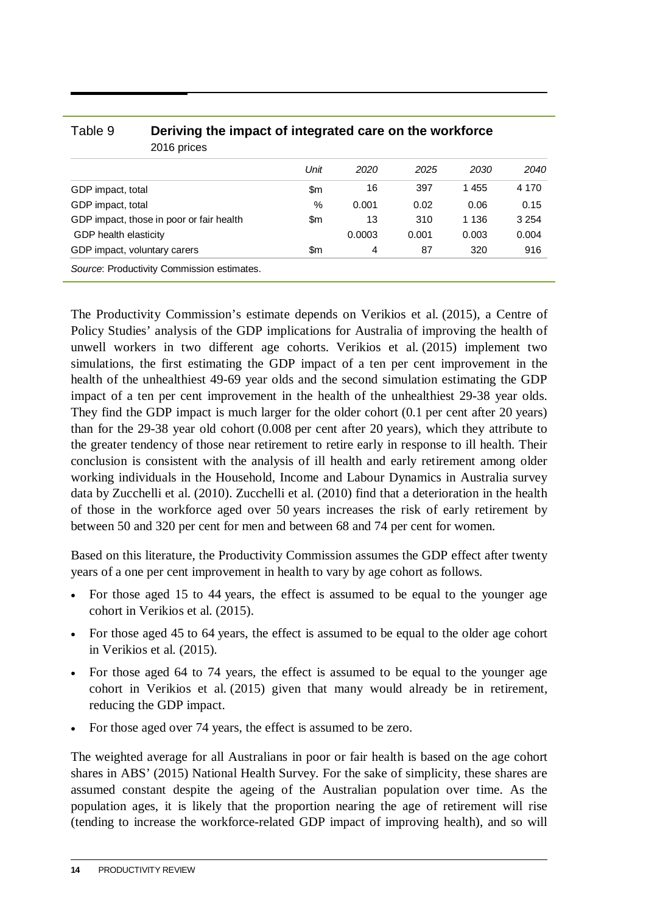| able 9                       | Deriving the impact of integrated care on the workforce<br>2016 prices |      |        |       |         |         |  |  |  |
|------------------------------|------------------------------------------------------------------------|------|--------|-------|---------|---------|--|--|--|
|                              |                                                                        | Unit | 2020   | 2025  | 2030    | 2040    |  |  |  |
| GDP impact, total            |                                                                        | \$m  | 16     | 397   | 1455    | 4 170   |  |  |  |
| GDP impact, total            |                                                                        | $\%$ | 0.001  | 0.02  | 0.06    | 0.15    |  |  |  |
|                              | GDP impact, those in poor or fair health                               | \$m  | 13     | 310   | 1 1 3 6 | 3 2 5 4 |  |  |  |
| GDP health elasticity        |                                                                        |      | 0.0003 | 0.001 | 0.003   | 0.004   |  |  |  |
| GDP impact, voluntary carers |                                                                        | \$m  | 4      | 87    | 320     | 916     |  |  |  |
|                              | Source: Productivity Commission estimates.                             |      |        |       |         |         |  |  |  |

Table 9 **Deriving the impact of integrated care on the workforce**

The Productivity Commission's estimate depends on Verikios et al. (2015), a Centre of Policy Studies' analysis of the GDP implications for Australia of improving the health of unwell workers in two different age cohorts. Verikios et al. (2015) implement two simulations, the first estimating the GDP impact of a ten per cent improvement in the health of the unhealthiest 49-69 year olds and the second simulation estimating the GDP impact of a ten per cent improvement in the health of the unhealthiest 29-38 year olds. They find the GDP impact is much larger for the older cohort (0.1 per cent after 20 years) than for the 29-38 year old cohort (0.008 per cent after 20 years), which they attribute to the greater tendency of those near retirement to retire early in response to ill health. Their conclusion is consistent with the analysis of ill health and early retirement among older working individuals in the Household, Income and Labour Dynamics in Australia survey data by Zucchelli et al. (2010). Zucchelli et al. (2010) find that a deterioration in the health of those in the workforce aged over 50 years increases the risk of early retirement by between 50 and 320 per cent for men and between 68 and 74 per cent for women.

Based on this literature, the Productivity Commission assumes the GDP effect after twenty years of a one per cent improvement in health to vary by age cohort as follows.

- For those aged 15 to 44 years, the effect is assumed to be equal to the younger age cohort in Verikios et al. (2015).
- For those aged 45 to 64 years, the effect is assumed to be equal to the older age cohort in Verikios et al. (2015).
- For those aged 64 to 74 years, the effect is assumed to be equal to the younger age cohort in Verikios et al. (2015) given that many would already be in retirement, reducing the GDP impact.
- For those aged over 74 years, the effect is assumed to be zero.

The weighted average for all Australians in poor or fair health is based on the age cohort shares in ABS' (2015) National Health Survey. For the sake of simplicity, these shares are assumed constant despite the ageing of the Australian population over time. As the population ages, it is likely that the proportion nearing the age of retirement will rise (tending to increase the workforce-related GDP impact of improving health), and so will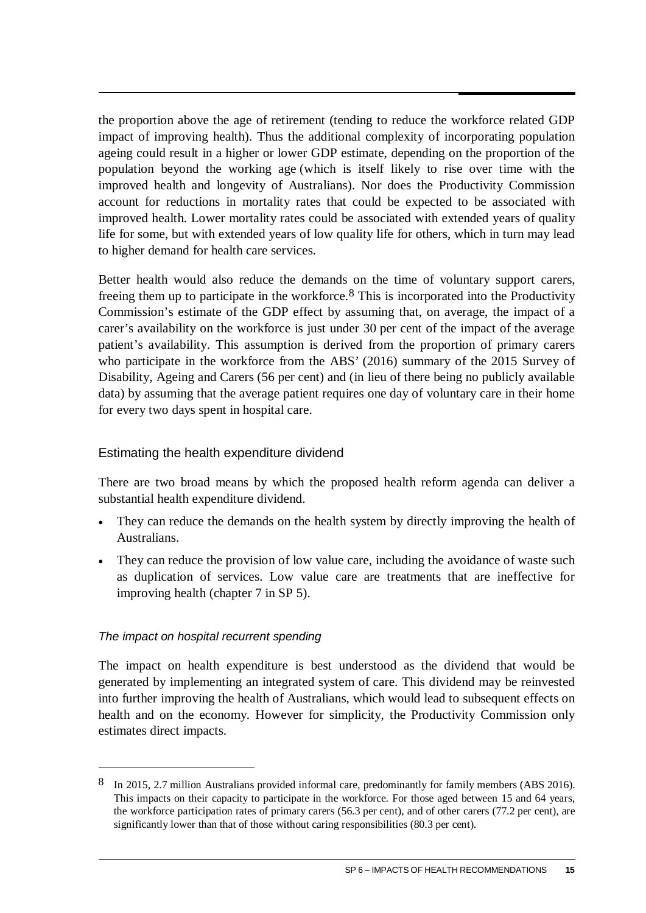the proportion above the age of retirement (tending to reduce the workforce related GDP impact of improving health). Thus the additional complexity of incorporating population ageing could result in a higher or lower GDP estimate, depending on the proportion of the population beyond the working age (which is itself likely to rise over time with the improved health and longevity of Australians). Nor does the Productivity Commission account for reductions in mortality rates that could be expected to be associated with improved health. Lower mortality rates could be associated with extended years of quality life for some, but with extended years of low quality life for others, which in turn may lead to higher demand for health care services.

Better health would also reduce the demands on the time of voluntary support carers, freeing them up to participate in the workforce.<sup>[8](#page-16-0)</sup> This is incorporated into the Productivity Commission's estimate of the GDP effect by assuming that, on average, the impact of a carer's availability on the workforce is just under 30 per cent of the impact of the average patient's availability. This assumption is derived from the proportion of primary carers who participate in the workforce from the ABS' (2016) summary of the 2015 Survey of Disability, Ageing and Carers (56 per cent) and (in lieu of there being no publicly available data) by assuming that the average patient requires one day of voluntary care in their home for every two days spent in hospital care.

#### Estimating the health expenditure dividend

There are two broad means by which the proposed health reform agenda can deliver a substantial health expenditure dividend.

- They can reduce the demands on the health system by directly improving the health of Australians.
- They can reduce the provision of low value care, including the avoidance of waste such as duplication of services. Low value care are treatments that are ineffective for improving health (chapter 7 in SP 5).

#### *The impact on hospital recurrent spending*

 $\overline{a}$ 

The impact on health expenditure is best understood as the dividend that would be generated by implementing an integrated system of care. This dividend may be reinvested into further improving the health of Australians, which would lead to subsequent effects on health and on the economy. However for simplicity, the Productivity Commission only estimates direct impacts.

<span id="page-16-0"></span><sup>8</sup> In 2015, 2.7 million Australians provided informal care, predominantly for family members (ABS 2016). This impacts on their capacity to participate in the workforce. For those aged between 15 and 64 years, the workforce participation rates of primary carers (56.3 per cent), and of other carers (77.2 per cent), are significantly lower than that of those without caring responsibilities (80.3 per cent).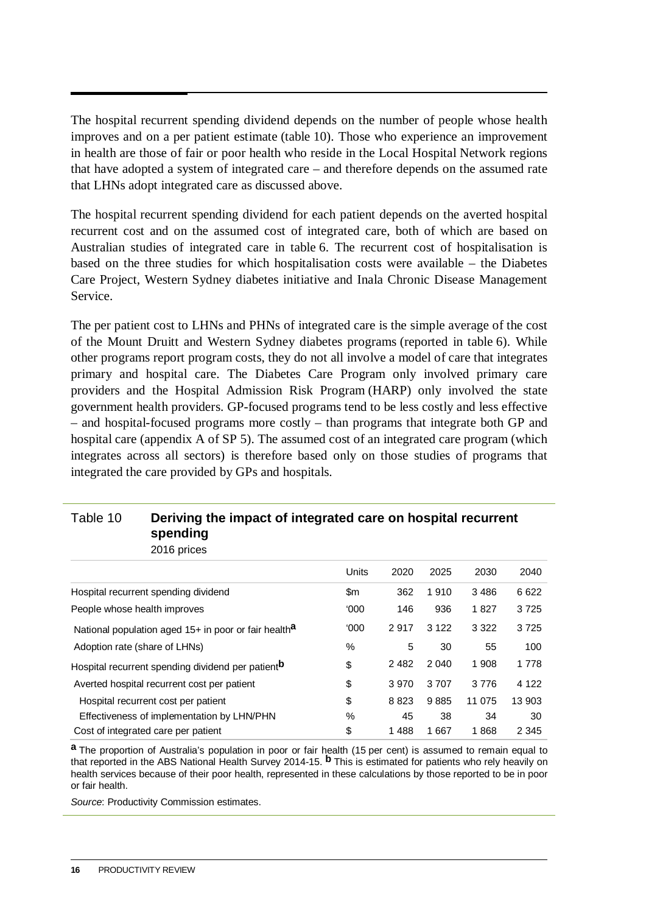The hospital recurrent spending dividend depends on the number of people whose health improves and on a per patient estimate (table 10). Those who experience an improvement in health are those of fair or poor health who reside in the Local Hospital Network regions that have adopted a system of integrated care – and therefore depends on the assumed rate that LHNs adopt integrated care as discussed above.

The hospital recurrent spending dividend for each patient depends on the averted hospital recurrent cost and on the assumed cost of integrated care, both of which are based on Australian studies of integrated care in table 6. The recurrent cost of hospitalisation is based on the three studies for which hospitalisation costs were available – the Diabetes Care Project, Western Sydney diabetes initiative and Inala Chronic Disease Management Service.

The per patient cost to LHNs and PHNs of integrated care is the simple average of the cost of the Mount Druitt and Western Sydney diabetes programs (reported in table 6). While other programs report program costs, they do not all involve a model of care that integrates primary and hospital care. The Diabetes Care Program only involved primary care providers and the Hospital Admission Risk Program (HARP) only involved the state government health providers. GP-focused programs tend to be less costly and less effective – and hospital-focused programs more costly – than programs that integrate both GP and hospital care (appendix A of SP 5). The assumed cost of an integrated care program (which integrates across all sectors) is therefore based only on those studies of programs that integrated the care provided by GPs and hospitals.

#### Table 10 **Deriving the impact of integrated care on hospital recurrent spending**

2016 prices

|                                                                  | Units | 2020    | 2025    | 2030    | 2040    |
|------------------------------------------------------------------|-------|---------|---------|---------|---------|
| Hospital recurrent spending dividend                             | \$m   | 362     | 1910    | 3486    | 6622    |
| People whose health improves                                     | '000  | 146     | 936     | 1827    | 3725    |
| National population aged 15+ in poor or fair health <sup>a</sup> | 000'  | 2917    | 3 1 2 2 | 3 3 2 2 | 3725    |
| Adoption rate (share of LHNs)                                    | $\%$  | 5       | 30      | 55      | 100     |
| Hospital recurrent spending dividend per patient <sup>b</sup>    | \$    | 2 4 8 2 | 2 0 4 0 | 1 908   | 1778    |
| Averted hospital recurrent cost per patient                      | \$    | 3 9 7 0 | 3707    | 3776    | 4 1 2 2 |
| Hospital recurrent cost per patient                              | \$    | 8823    | 9885    | 11 075  | 13 903  |
| Effectiveness of implementation by LHN/PHN                       | $\%$  | 45      | 38      | 34      | 30      |
| Cost of integrated care per patient                              | \$    | 1488    | 1667    | 1868    | 2 3 4 5 |

**a** The proportion of Australia's population in poor or fair health (15 per cent) is assumed to remain equal to that reported in the ABS National Health Survey 2014-15. **b** This is estimated for patients who rely heavily on health services because of their poor health, represented in these calculations by those reported to be in poor or fair health.

*Source*: Productivity Commission estimates.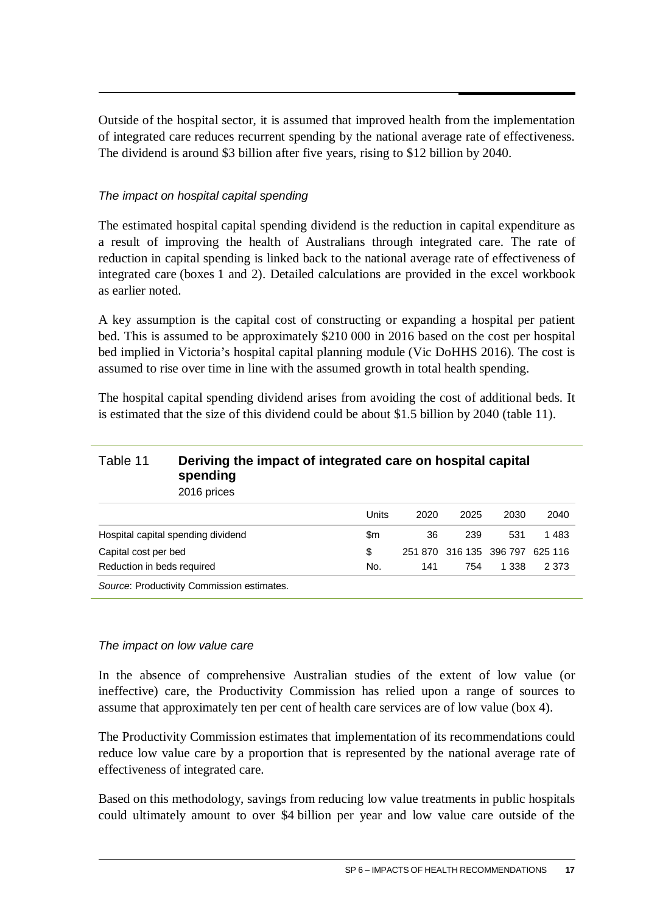Outside of the hospital sector, it is assumed that improved health from the implementation of integrated care reduces recurrent spending by the national average rate of effectiveness. The dividend is around \$3 billion after five years, rising to \$12 billion by 2040.

#### *The impact on hospital capital spending*

The estimated hospital capital spending dividend is the reduction in capital expenditure as a result of improving the health of Australians through integrated care. The rate of reduction in capital spending is linked back to the national average rate of effectiveness of integrated care (boxes 1 and 2). Detailed calculations are provided in the excel workbook as earlier noted.

A key assumption is the capital cost of constructing or expanding a hospital per patient bed. This is assumed to be approximately \$210 000 in 2016 based on the cost per hospital bed implied in Victoria's hospital capital planning module (Vic DoHHS 2016). The cost is assumed to rise over time in line with the assumed growth in total health spending.

The hospital capital spending dividend arises from avoiding the cost of additional beds. It is estimated that the size of this dividend could be about \$1.5 billion by 2040 (table 11).

#### Table 11 **Deriving the impact of integrated care on hospital capital spending** 2016 prices

|                                            | Units | 2020 | 2025 | 2030                            | 2040    |
|--------------------------------------------|-------|------|------|---------------------------------|---------|
| Hospital capital spending dividend         | \$m   | 36   | 239  | 531                             | 1 483   |
| Capital cost per bed                       | S     |      |      | 251 870 316 135 396 797 625 116 |         |
| Reduction in beds required                 | No.   | 141  | 754  | 1.338                           | 2 3 7 3 |
| Source: Productivity Commission estimates. |       |      |      |                                 |         |

#### *The impact on low value care*

In the absence of comprehensive Australian studies of the extent of low value (or ineffective) care, the Productivity Commission has relied upon a range of sources to assume that approximately ten per cent of health care services are of low value (box 4).

The Productivity Commission estimates that implementation of its recommendations could reduce low value care by a proportion that is represented by the national average rate of effectiveness of integrated care.

Based on this methodology, savings from reducing low value treatments in public hospitals could ultimately amount to over \$4 billion per year and low value care outside of the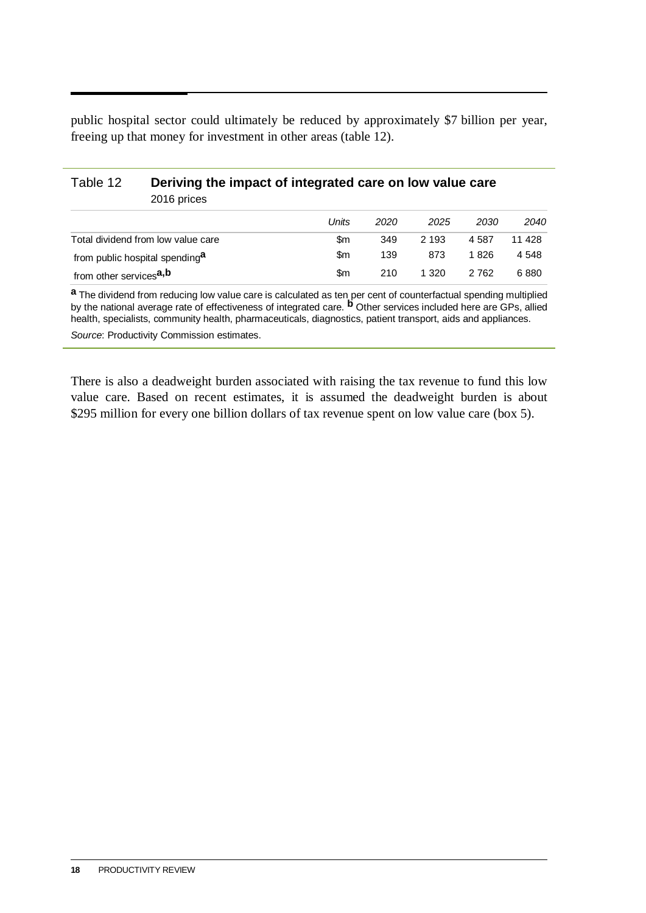public hospital sector could ultimately be reduced by approximately \$7 billion per year, freeing up that money for investment in other areas (table 12).

#### Table 12 **Deriving the impact of integrated care on low value care** 2016 prices

|                                            | Units | 2020 | 2025  | 2030  | 2040   |
|--------------------------------------------|-------|------|-------|-------|--------|
| Total dividend from low value care         | \$m   | 349  | 2 193 | 4.587 | 11 428 |
| from public hospital spending <sup>a</sup> | \$m   | 139  | 873   | 1 826 | 4 548  |
| from other services <sup>a,b</sup>         | \$m   | 210  | 1.320 | 2 762 | 6880   |

**a** The dividend from reducing low value care is calculated as ten per cent of counterfactual spending multiplied by the national average rate of effectiveness of integrated care. **b** Other services included here are GPs, allied health, specialists, community health, pharmaceuticals, diagnostics, patient transport, aids and appliances.

*Source*: Productivity Commission estimates.

There is also a deadweight burden associated with raising the tax revenue to fund this low value care. Based on recent estimates, it is assumed the deadweight burden is about \$295 million for every one billion dollars of tax revenue spent on low value care (box 5).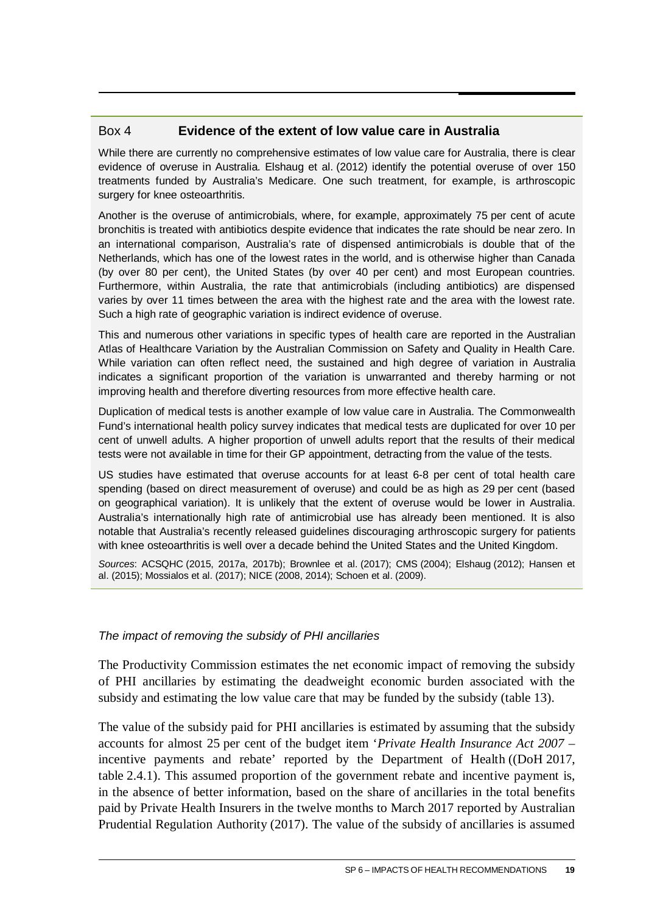#### Box 4 **Evidence of the extent of low value care in Australia**

While there are currently no comprehensive estimates of low value care for Australia, there is clear evidence of overuse in Australia. Elshaug et al. (2012) identify the potential overuse of over 150 treatments funded by Australia's Medicare. One such treatment, for example, is arthroscopic surgery for knee osteoarthritis.

Another is the overuse of antimicrobials, where, for example, approximately 75 per cent of acute bronchitis is treated with antibiotics despite evidence that indicates the rate should be near zero. In an international comparison, Australia's rate of dispensed antimicrobials is double that of the Netherlands, which has one of the lowest rates in the world, and is otherwise higher than Canada (by over 80 per cent), the United States (by over 40 per cent) and most European countries. Furthermore, within Australia, the rate that antimicrobials (including antibiotics) are dispensed varies by over 11 times between the area with the highest rate and the area with the lowest rate. Such a high rate of geographic variation is indirect evidence of overuse.

This and numerous other variations in specific types of health care are reported in the Australian Atlas of Healthcare Variation by the Australian Commission on Safety and Quality in Health Care. While variation can often reflect need, the sustained and high degree of variation in Australia indicates a significant proportion of the variation is unwarranted and thereby harming or not improving health and therefore diverting resources from more effective health care.

Duplication of medical tests is another example of low value care in Australia. The Commonwealth Fund's international health policy survey indicates that medical tests are duplicated for over 10 per cent of unwell adults. A higher proportion of unwell adults report that the results of their medical tests were not available in time for their GP appointment, detracting from the value of the tests.

US studies have estimated that overuse accounts for at least 6-8 per cent of total health care spending (based on direct measurement of overuse) and could be as high as 29 per cent (based on geographical variation). It is unlikely that the extent of overuse would be lower in Australia. Australia's internationally high rate of antimicrobial use has already been mentioned. It is also notable that Australia's recently released guidelines discouraging arthroscopic surgery for patients with knee osteoarthritis is well over a decade behind the United States and the United Kingdom.

*Sources*: ACSQHC (2015, 2017a, 2017b); Brownlee et al. (2017); CMS (2004); Elshaug (2012); Hansen et al. (2015); Mossialos et al. (2017); NICE (2008, 2014); Schoen et al. (2009).

#### *The impact of removing the subsidy of PHI ancillaries*

The Productivity Commission estimates the net economic impact of removing the subsidy of PHI ancillaries by estimating the deadweight economic burden associated with the subsidy and estimating the low value care that may be funded by the subsidy (table 13).

The value of the subsidy paid for PHI ancillaries is estimated by assuming that the subsidy accounts for almost 25 per cent of the budget item '*Private Health Insurance Act 2007* – incentive payments and rebate' reported by the Department of Health ((DoH 2017, table 2.4.1). This assumed proportion of the government rebate and incentive payment is, in the absence of better information, based on the share of ancillaries in the total benefits paid by Private Health Insurers in the twelve months to March 2017 reported by Australian Prudential Regulation Authority (2017). The value of the subsidy of ancillaries is assumed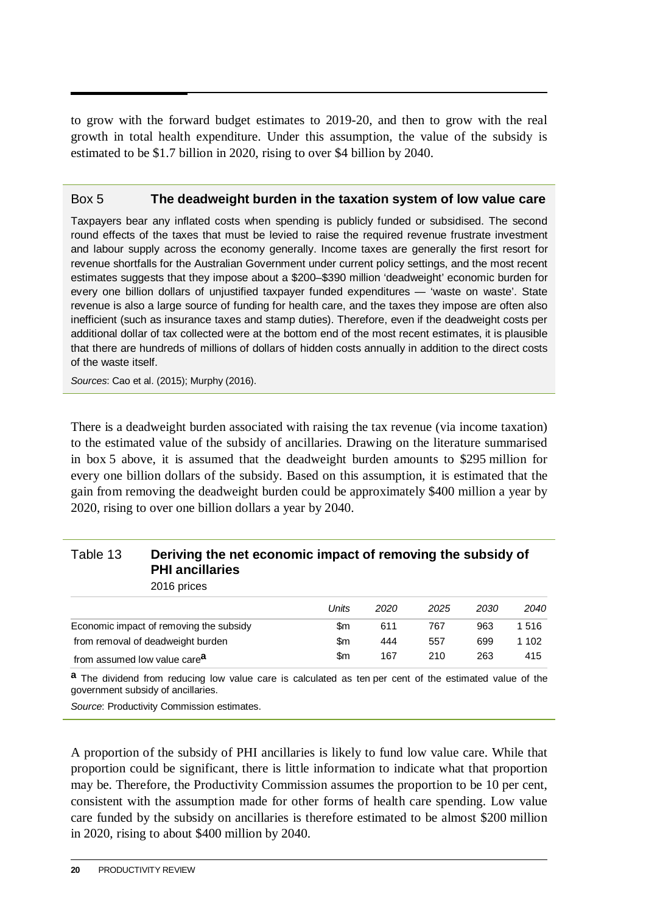to grow with the forward budget estimates to 2019-20, and then to grow with the real growth in total health expenditure. Under this assumption, the value of the subsidy is estimated to be \$1.7 billion in 2020, rising to over \$4 billion by 2040.

#### Box 5 **The deadweight burden in the taxation system of low value care**

Taxpayers bear any inflated costs when spending is publicly funded or subsidised. The second round effects of the taxes that must be levied to raise the required revenue frustrate investment and labour supply across the economy generally. Income taxes are generally the first resort for revenue shortfalls for the Australian Government under current policy settings, and the most recent estimates suggests that they impose about a \$200–\$390 million 'deadweight' economic burden for every one billion dollars of unjustified taxpayer funded expenditures — 'waste on waste'. State revenue is also a large source of funding for health care, and the taxes they impose are often also inefficient (such as insurance taxes and stamp duties). Therefore, even if the deadweight costs per additional dollar of tax collected were at the bottom end of the most recent estimates, it is plausible that there are hundreds of millions of dollars of hidden costs annually in addition to the direct costs of the waste itself.

*Sources*: Cao et al. (2015); Murphy (2016).

There is a deadweight burden associated with raising the tax revenue (via income taxation) to the estimated value of the subsidy of ancillaries. Drawing on the literature summarised in box 5 above, it is assumed that the deadweight burden amounts to \$295 million for every one billion dollars of the subsidy. Based on this assumption, it is estimated that the gain from removing the deadweight burden could be approximately \$400 million a year by 2020, rising to over one billion dollars a year by 2040.

#### Table 13 **Deriving the net economic impact of removing the subsidy of PHI ancillaries**

2016 prices

|                                          | Units | 2020 | 2025 | 2030 | 2040  |
|------------------------------------------|-------|------|------|------|-------|
| Economic impact of removing the subsidy  | \$m   | 611  | 767  | 963  | 1516  |
| from removal of deadweight burden        | \$m   | 444  | 557  | 699  | 1 102 |
| from assumed low value care <sup>a</sup> | \$m   | 167  | 210  | 263  | 415   |

**a** The dividend from reducing low value care is calculated as ten per cent of the estimated value of the government subsidy of ancillaries.

*Source*: Productivity Commission estimates.

A proportion of the subsidy of PHI ancillaries is likely to fund low value care. While that proportion could be significant, there is little information to indicate what that proportion may be. Therefore, the Productivity Commission assumes the proportion to be 10 per cent, consistent with the assumption made for other forms of health care spending. Low value care funded by the subsidy on ancillaries is therefore estimated to be almost \$200 million in 2020, rising to about \$400 million by 2040.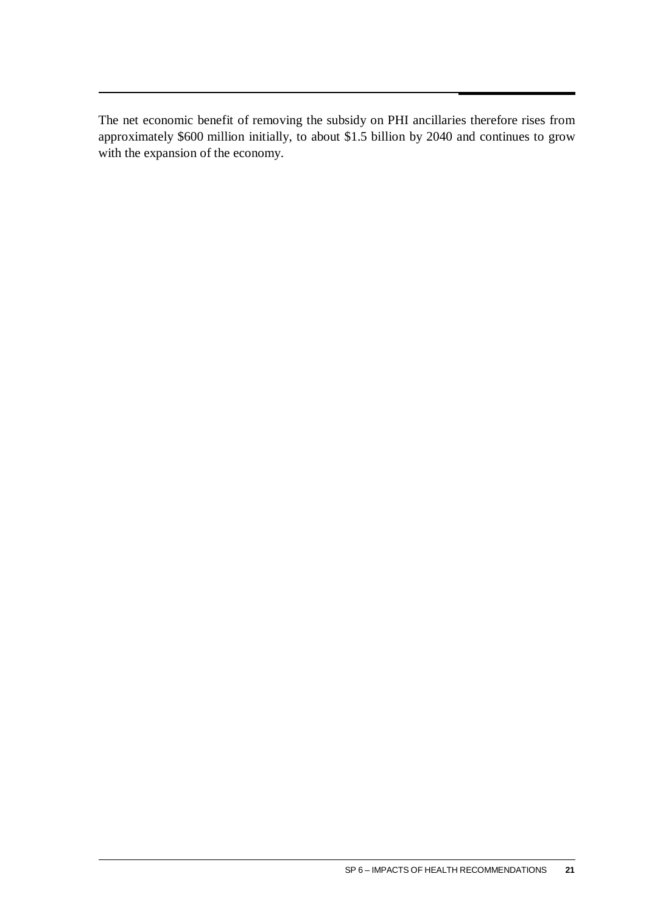The net economic benefit of removing the subsidy on PHI ancillaries therefore rises from approximately \$600 million initially, to about \$1.5 billion by 2040 and continues to grow with the expansion of the economy.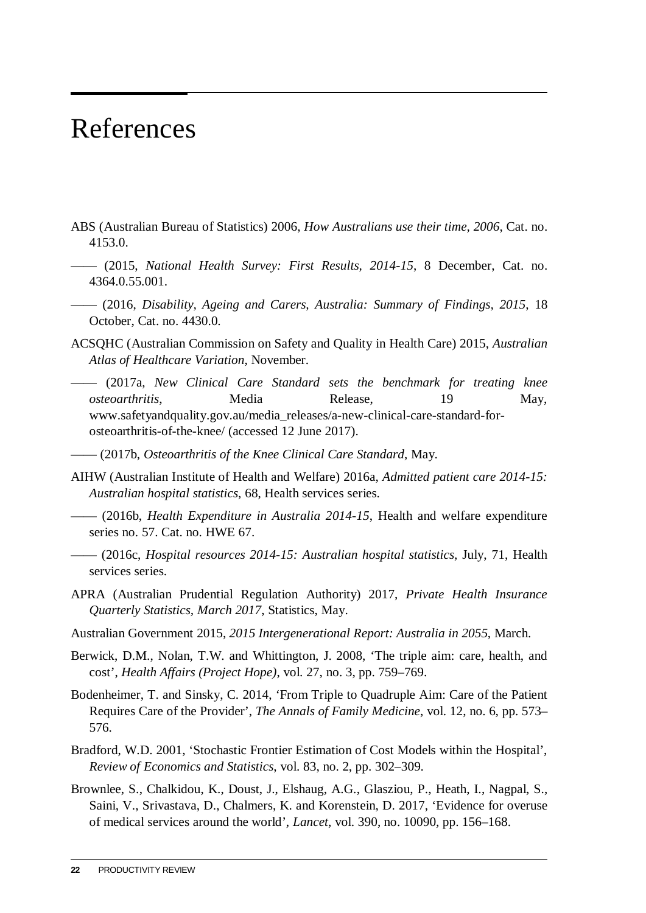# <span id="page-23-0"></span>References

- ABS (Australian Bureau of Statistics) 2006, *How Australians use their time, 2006*, Cat. no. 4153.0.
- —— (2015, *National Health Survey: First Results, 2014-15*, 8 December, Cat. no. 4364.0.55.001.
- —— (2016, *Disability, Ageing and Carers, Australia: Summary of Findings, 2015*, 18 October, Cat. no. 4430.0.
- ACSQHC (Australian Commission on Safety and Quality in Health Care) 2015, *Australian Atlas of Healthcare Variation*, November.
- —— (2017a, *New Clinical Care Standard sets the benchmark for treating knee osteoarthritis*, Media Release, 19 May, www.safetyandquality.gov.au/media\_releases/a-new-clinical-care-standard-forosteoarthritis-of-the-knee/ (accessed 12 June 2017).
- —— (2017b, *Osteoarthritis of the Knee Clinical Care Standard*, May.
- AIHW (Australian Institute of Health and Welfare) 2016a, *Admitted patient care 2014-15: Australian hospital statistics*, 68, Health services series.
- —— (2016b, *Health Expenditure in Australia 2014-15*, Health and welfare expenditure series no. 57. Cat. no. HWE 67.
- —— (2016c, *Hospital resources 2014-15: Australian hospital statistics*, July, 71, Health services series.
- APRA (Australian Prudential Regulation Authority) 2017, *Private Health Insurance Quarterly Statistics, March 2017*, Statistics, May.
- Australian Government 2015, *2015 Intergenerational Report: Australia in 2055*, March.
- Berwick, D.M., Nolan, T.W. and Whittington, J. 2008, 'The triple aim: care, health, and cost', *Health Affairs (Project Hope)*, vol. 27, no. 3, pp. 759–769.
- Bodenheimer, T. and Sinsky, C. 2014, 'From Triple to Quadruple Aim: Care of the Patient Requires Care of the Provider', *The Annals of Family Medicine*, vol. 12, no. 6, pp. 573– 576.
- Bradford, W.D. 2001, 'Stochastic Frontier Estimation of Cost Models within the Hospital', *Review of Economics and Statistics*, vol. 83, no. 2, pp. 302–309.
- Brownlee, S., Chalkidou, K., Doust, J., Elshaug, A.G., Glasziou, P., Heath, I., Nagpal, S., Saini, V., Srivastava, D., Chalmers, K. and Korenstein, D. 2017, 'Evidence for overuse of medical services around the world', *Lancet*, vol. 390, no. 10090, pp. 156–168.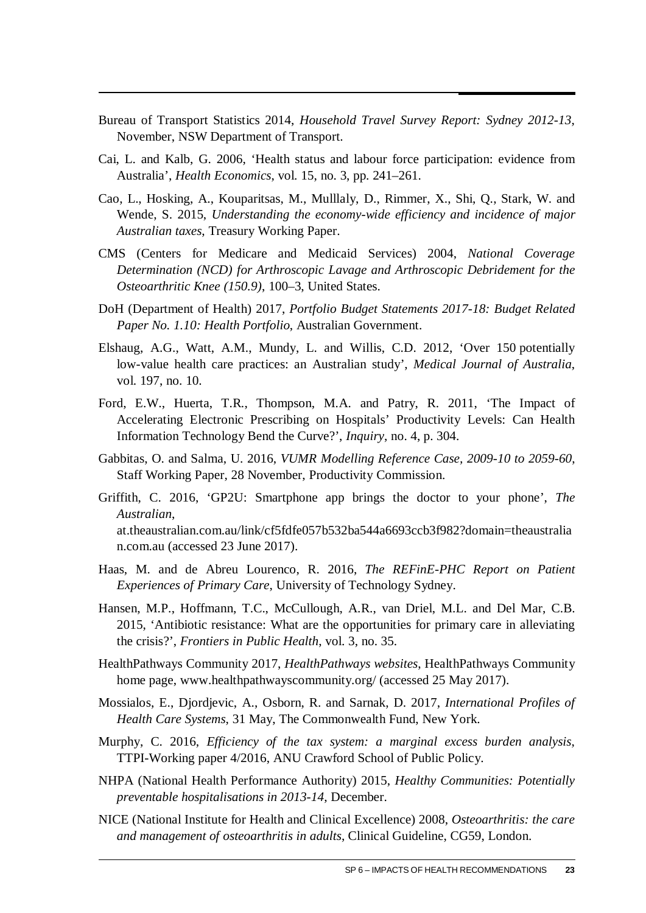- Bureau of Transport Statistics 2014, *Household Travel Survey Report: Sydney 2012-13*, November, NSW Department of Transport.
- Cai, L. and Kalb, G. 2006, 'Health status and labour force participation: evidence from Australia', *Health Economics*, vol. 15, no. 3, pp. 241–261.
- Cao, L., Hosking, A., Kouparitsas, M., Mulllaly, D., Rimmer, X., Shi, Q., Stark, W. and Wende, S. 2015, *Understanding the economy-wide efficiency and incidence of major Australian taxes*, Treasury Working Paper.
- CMS (Centers for Medicare and Medicaid Services) 2004, *National Coverage Determination (NCD) for Arthroscopic Lavage and Arthroscopic Debridement for the Osteoarthritic Knee (150.9)*, 100–3, United States.
- DoH (Department of Health) 2017, *Portfolio Budget Statements 2017-18: Budget Related Paper No. 1.10: Health Portfolio*, Australian Government.
- Elshaug, A.G., Watt, A.M., Mundy, L. and Willis, C.D. 2012, 'Over 150 potentially low-value health care practices: an Australian study', *Medical Journal of Australia*, vol. 197, no. 10.
- Ford, E.W., Huerta, T.R., Thompson, M.A. and Patry, R. 2011, 'The Impact of Accelerating Electronic Prescribing on Hospitals' Productivity Levels: Can Health Information Technology Bend the Curve?', *Inquiry*, no. 4, p. 304.
- Gabbitas, O. and Salma, U. 2016, *VUMR Modelling Reference Case, 2009-10 to 2059-60*, Staff Working Paper, 28 November, Productivity Commission.
- Griffith, C. 2016, 'GP2U: Smartphone app brings the doctor to your phone', *The Australian*, at.theaustralian.com.au/link/cf5fdfe057b532ba544a6693ccb3f982?domain=theaustralia n.com.au (accessed 23 June 2017).
- Haas, M. and de Abreu Lourenco, R. 2016, *The REFinE-PHC Report on Patient Experiences of Primary Care*, University of Technology Sydney.
- Hansen, M.P., Hoffmann, T.C., McCullough, A.R., van Driel, M.L. and Del Mar, C.B. 2015, 'Antibiotic resistance: What are the opportunities for primary care in alleviating the crisis?', *Frontiers in Public Health*, vol. 3, no. 35.
- HealthPathways Community 2017, *HealthPathways websites*, HealthPathways Community home page, www.healthpathwayscommunity.org/ (accessed 25 May 2017).
- Mossialos, E., Djordjevic, A., Osborn, R. and Sarnak, D. 2017, *International Profiles of Health Care Systems*, 31 May, The Commonwealth Fund, New York.
- Murphy, C. 2016, *Efficiency of the tax system: a marginal excess burden analysis*, TTPI-Working paper 4/2016, ANU Crawford School of Public Policy.
- NHPA (National Health Performance Authority) 2015, *Healthy Communities: Potentially preventable hospitalisations in 2013-14*, December.
- NICE (National Institute for Health and Clinical Excellence) 2008, *Osteoarthritis: the care and management of osteoarthritis in adults*, Clinical Guideline, CG59, London.